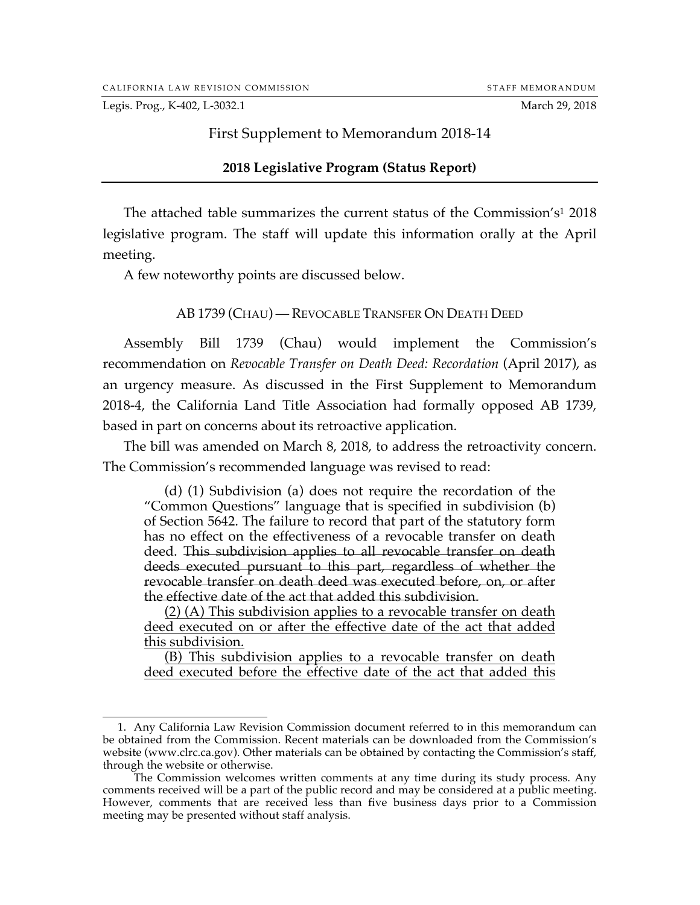Legis. Prog., K-402, L-3032.1 March 29, 2018

## First Supplement to Memorandum 2018-14

### **2018 Legislative Program (Status Report)**

The attached table summarizes the current status of the Commission's1 2018 legislative program. The staff will update this information orally at the April meeting.

A few noteworthy points are discussed below.

## AB 1739 (CHAU) — REVOCABLE TRANSFER ON DEATH DEED

Assembly Bill 1739 (Chau) would implement the Commission's recommendation on *Revocable Transfer on Death Deed: Recordation* (April 2017), as an urgency measure. As discussed in the First Supplement to Memorandum 2018-4, the California Land Title Association had formally opposed AB 1739, based in part on concerns about its retroactive application.

The bill was amended on March 8, 2018, to address the retroactivity concern. The Commission's recommended language was revised to read:

(d) (1) Subdivision (a) does not require the recordation of the "Common Questions" language that is specified in subdivision (b) of Section 5642. The failure to record that part of the statutory form has no effect on the effectiveness of a revocable transfer on death deed. This subdivision applies to all revocable transfer on death deeds executed pursuant to this part, regardless of whether the revocable transfer on death deed was executed before, on, or after the effective date of the act that added this subdivision.

(2) (A) This subdivision applies to a revocable transfer on death deed executed on or after the effective date of the act that added this subdivision.

(B) This subdivision applies to a revocable transfer on death deed executed before the effective date of the act that added this

 <sup>1.</sup> Any California Law Revision Commission document referred to in this memorandum can be obtained from the Commission. Recent materials can be downloaded from the Commission's website (www.clrc.ca.gov). Other materials can be obtained by contacting the Commission's staff, through the website or otherwise.

The Commission welcomes written comments at any time during its study process. Any comments received will be a part of the public record and may be considered at a public meeting. However, comments that are received less than five business days prior to a Commission meeting may be presented without staff analysis.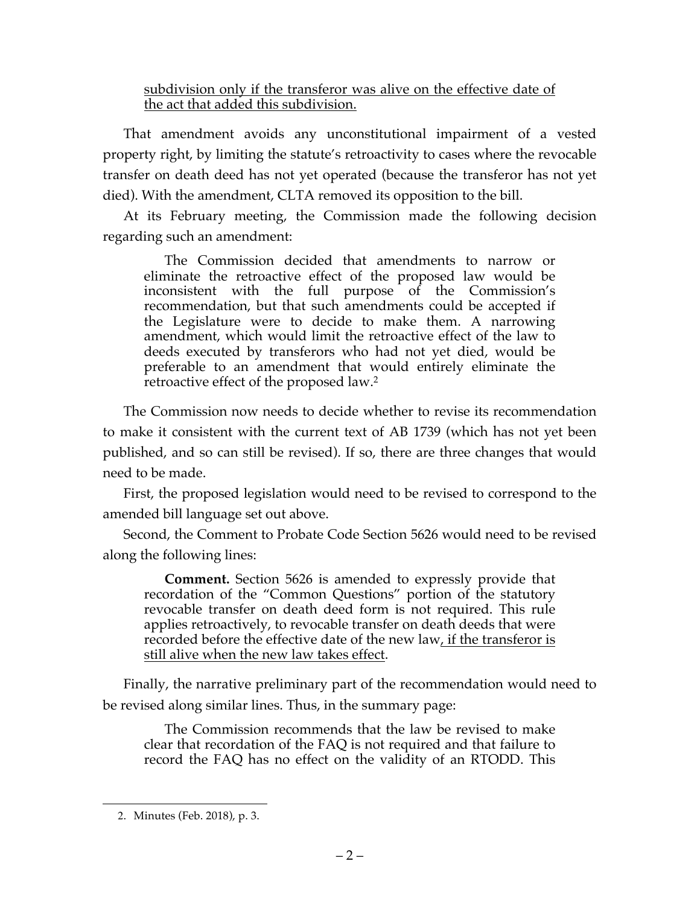subdivision only if the transferor was alive on the effective date of the act that added this subdivision.

That amendment avoids any unconstitutional impairment of a vested property right, by limiting the statute's retroactivity to cases where the revocable transfer on death deed has not yet operated (because the transferor has not yet died). With the amendment, CLTA removed its opposition to the bill.

At its February meeting, the Commission made the following decision regarding such an amendment:

The Commission decided that amendments to narrow or eliminate the retroactive effect of the proposed law would be inconsistent with the full purpose of the Commission's recommendation, but that such amendments could be accepted if the Legislature were to decide to make them. A narrowing amendment, which would limit the retroactive effect of the law to deeds executed by transferors who had not yet died, would be preferable to an amendment that would entirely eliminate the retroactive effect of the proposed law.2

The Commission now needs to decide whether to revise its recommendation to make it consistent with the current text of AB 1739 (which has not yet been published, and so can still be revised). If so, there are three changes that would need to be made.

First, the proposed legislation would need to be revised to correspond to the amended bill language set out above.

Second, the Comment to Probate Code Section 5626 would need to be revised along the following lines:

**Comment.** Section 5626 is amended to expressly provide that recordation of the "Common Questions" portion of the statutory revocable transfer on death deed form is not required. This rule applies retroactively, to revocable transfer on death deeds that were recorded before the effective date of the new law, if the transferor is still alive when the new law takes effect.

Finally, the narrative preliminary part of the recommendation would need to be revised along similar lines. Thus, in the summary page:

The Commission recommends that the law be revised to make clear that recordation of the FAQ is not required and that failure to record the FAQ has no effect on the validity of an RTODD. This

l

<sup>2</sup>. Minutes (Feb. 2018), p. 3.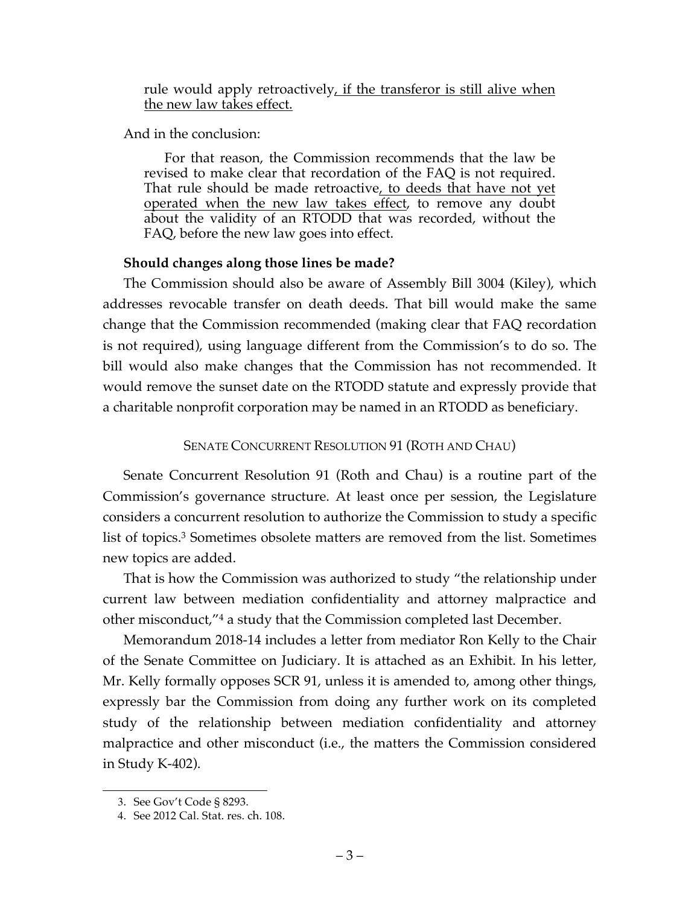rule would apply retroactively, if the transferor is still alive when the new law takes effect.

And in the conclusion:

For that reason, the Commission recommends that the law be revised to make clear that recordation of the FAQ is not required. That rule should be made retroactive, to deeds that have not yet operated when the new law takes effect, to remove any doubt about the validity of an RTODD that was recorded, without the FAQ, before the new law goes into effect.

## **Should changes along those lines be made?**

The Commission should also be aware of Assembly Bill 3004 (Kiley), which addresses revocable transfer on death deeds. That bill would make the same change that the Commission recommended (making clear that FAQ recordation is not required), using language different from the Commission's to do so. The bill would also make changes that the Commission has not recommended. It would remove the sunset date on the RTODD statute and expressly provide that a charitable nonprofit corporation may be named in an RTODD as beneficiary.

## SENATE CONCURRENT RESOLUTION 91 (ROTH AND CHAU)

Senate Concurrent Resolution 91 (Roth and Chau) is a routine part of the Commission's governance structure. At least once per session, the Legislature considers a concurrent resolution to authorize the Commission to study a specific list of topics.3 Sometimes obsolete matters are removed from the list. Sometimes new topics are added.

That is how the Commission was authorized to study "the relationship under current law between mediation confidentiality and attorney malpractice and other misconduct,"4 a study that the Commission completed last December.

Memorandum 2018-14 includes a letter from mediator Ron Kelly to the Chair of the Senate Committee on Judiciary. It is attached as an Exhibit. In his letter, Mr. Kelly formally opposes SCR 91, unless it is amended to, among other things, expressly bar the Commission from doing any further work on its completed study of the relationship between mediation confidentiality and attorney malpractice and other misconduct (i.e., the matters the Commission considered in Study K-402).

l

<sup>3</sup>. See Gov't Code § 8293.

<sup>4</sup>. See 2012 Cal. Stat. res. ch. 108.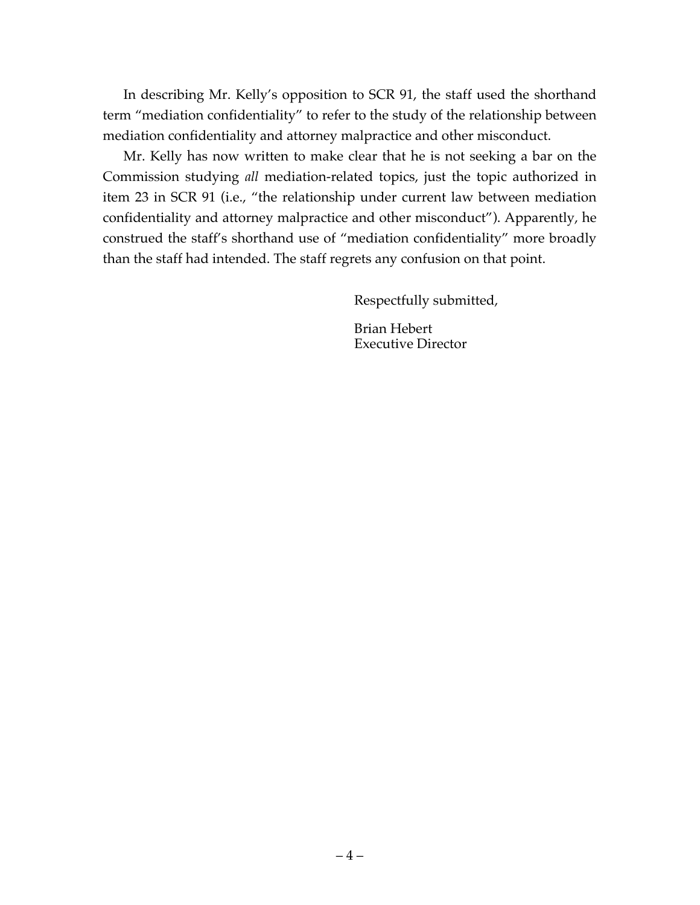In describing Mr. Kelly's opposition to SCR 91, the staff used the shorthand term "mediation confidentiality" to refer to the study of the relationship between mediation confidentiality and attorney malpractice and other misconduct.

Mr. Kelly has now written to make clear that he is not seeking a bar on the Commission studying *all* mediation-related topics, just the topic authorized in item 23 in SCR 91 (i.e., "the relationship under current law between mediation confidentiality and attorney malpractice and other misconduct"). Apparently, he construed the staff's shorthand use of "mediation confidentiality" more broadly than the staff had intended. The staff regrets any confusion on that point.

Respectfully submitted,

Brian Hebert Executive Director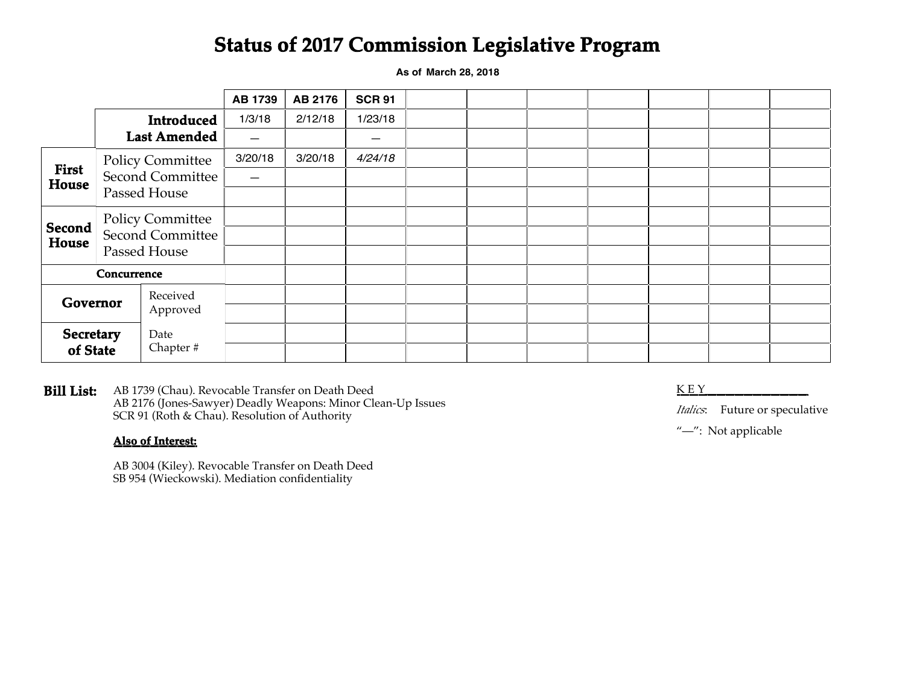# **Status of 2017 Commission Legislative Program**

**As of March 28, 2018**

|                        |                                                                    |          | <b>AB 1739</b> | AB 2176 | <b>SCR 91</b> |  |  |  |  |
|------------------------|--------------------------------------------------------------------|----------|----------------|---------|---------------|--|--|--|--|
|                        | <b>Introduced</b><br><b>Last Amended</b>                           |          | 1/3/18         | 2/12/18 | 1/23/18       |  |  |  |  |
|                        |                                                                    |          |                |         |               |  |  |  |  |
| <b>First</b><br>House  | <b>Policy Committee</b><br><b>Second Committee</b><br>Passed House |          | 3/20/18        | 3/20/18 | 4/24/18       |  |  |  |  |
|                        |                                                                    |          | —              |         |               |  |  |  |  |
|                        |                                                                    |          |                |         |               |  |  |  |  |
| <b>Second</b><br>House | <b>Policy Committee</b><br>Second Committee<br>Passed House        |          |                |         |               |  |  |  |  |
|                        |                                                                    |          |                |         |               |  |  |  |  |
|                        |                                                                    |          |                |         |               |  |  |  |  |
| <b>Concurrence</b>     |                                                                    |          |                |         |               |  |  |  |  |
| Governor               |                                                                    | Received |                |         |               |  |  |  |  |
|                        |                                                                    | Approved |                |         |               |  |  |  |  |
| <b>Secretary</b>       |                                                                    | Date     |                |         |               |  |  |  |  |
| of State               |                                                                    | Chapter# |                |         |               |  |  |  |  |

**Bill List:** K E Y\_\_\_\_\_\_\_\_\_\_\_\_\_\_\_\_\_\_ AB 1739 (Chau). Revocable Transfer on Death Deed AB 2176 (Jones-Sawyer) Deadly Weapons: Minor Clean-Up Issues SCR 91 (Roth & Chau). Resolution of Authority

#### **Also of Interest:**

AB 3004 (Kiley). Revocable Transfer on Death Deed SB 954 (Wieckowski). Mediation confidentiality

*Italics*: Future or speculative

"-": Not applicable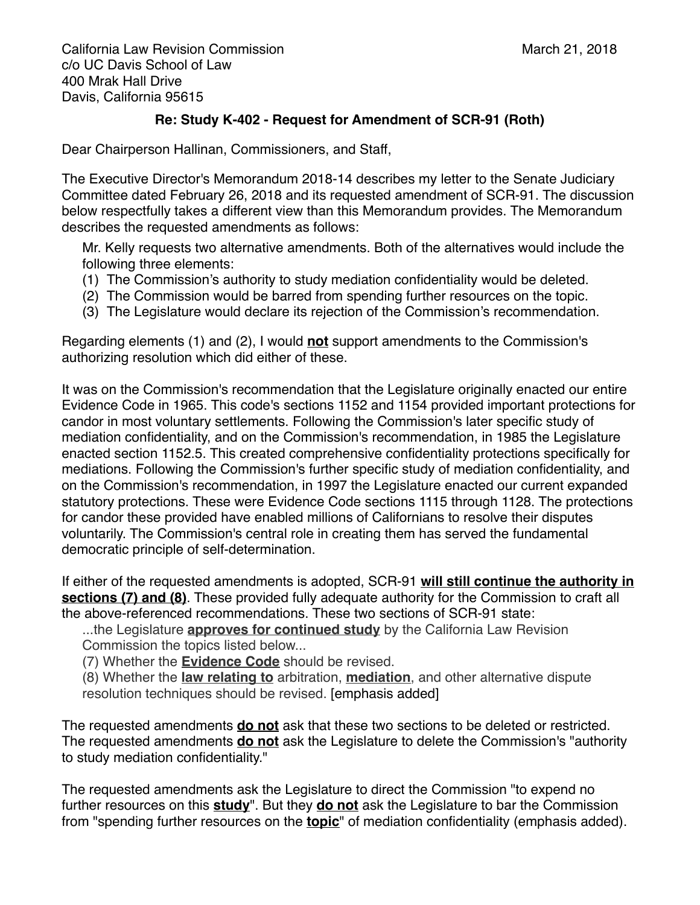California Law Revision Commission! ! ! ! ! March 21, 2018 c/o UC Davis School of Law 400 Mrak Hall Drive Davis, California 95615

## **Re: Study K-402 - Request for Amendment of SCR-91 (Roth)**

Dear Chairperson Hallinan, Commissioners, and Staff,

The Executive Director's Memorandum 2018-14 describes my letter to the Senate Judiciary Committee dated February 26, 2018 and its requested amendment of SCR-91. The discussion below respectfully takes a different view than this Memorandum provides. The Memorandum describes the requested amendments as follows:

Mr. Kelly requests two alternative amendments. Both of the alternatives would include the following three elements:

- (1) The Commission's authority to study mediation confidentiality would be deleted.
- (2) The Commission would be barred from spending further resources on the topic.
- (3) The Legislature would declare its rejection of the Commission's recommendation.

Regarding elements (1) and (2), I would **not** support amendments to the Commission's authorizing resolution which did either of these.

It was on the Commission's recommendation that the Legislature originally enacted our entire Evidence Code in 1965. This code's sections 1152 and 1154 provided important protections for candor in most voluntary settlements. Following the Commission's later specific study of mediation confidentiality, and on the Commission's recommendation, in 1985 the Legislature enacted section 1152.5. This created comprehensive confidentiality protections specifically for mediations. Following the Commission's further specific study of mediation confidentiality, and on the Commission's recommendation, in 1997 the Legislature enacted our current expanded statutory protections. These were Evidence Code sections 1115 through 1128. The protections for candor these provided have enabled millions of Californians to resolve their disputes voluntarily. The Commission's central role in creating them has served the fundamental democratic principle of self-determination.

If either of the requested amendments is adopted, SCR-91 **will still continue the authority in sections (7) and (8)**. These provided fully adequate authority for the Commission to craft all the above-referenced recommendations. These two sections of SCR-91 state:

...the Legislature **approves for continued study** by the California Law Revision Commission the topics listed below...

(7) Whether the **Evidence Code** should be revised.

(8) Whether the **law relating to** arbitration, **mediation**, and other alternative dispute resolution techniques should be revised. [emphasis added]

The requested amendments **do not** ask that these two sections to be deleted or restricted. The requested amendments **do not** ask the Legislature to delete the Commission's "authority to study mediation confidentiality."

The requested amendments ask the Legislature to direct the Commission "to expend no further resources on this **study**". But they **do not** ask the Legislature to bar the Commission from "spending further resources on the **topic**" of mediation confidentiality (emphasis added).